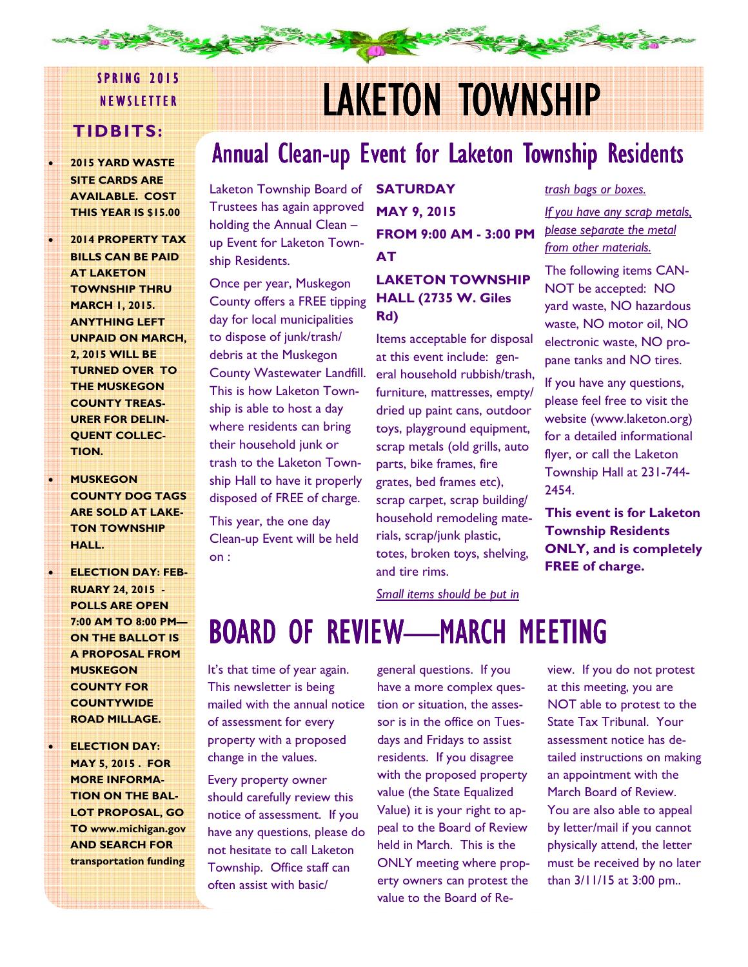# **SPRING 2015**

### TIDBITS:

- 2015 YARD WASTE SITE CARDS ARE AVAILABLE. COST THIS YEAR IS \$15.00
- 2014 PROPERTY TAX BILLS CAN BE PAID AT LAKETON TOWNSHIP THRU MARCH 1, 2015. ANYTHING LEFT UNPAID ON MARCH, 2, 2015 WILL BE TURNED OVER TO THE MUSKEGON COUNTY TREAS-URER FOR DELIN-**OUENT COLLEC-**TION.
- **MUSKEGON** COUNTY DOG TAGS ARE SOLD AT LAKE-TON TOWNSHIP HALL.
- **ELECTION DAY: FEB-**RUARY 24, 2015 - POLLS ARE OPEN 7:00 AM TO 8:00 PM— ON THE BALLOT IS A PROPOSAL FROM **MUSKEGON** COUNTY FOR **COUNTYWIDE** ROAD MILLAGE.
- **ELECTION DAY:** MAY 5, 2015 . FOR MORE INFORMA-TION ON THE BAL-LOT PROPOSAL, GO TO www.michigan.gov AND SEARCH FOR transportation funding

# NEWSLETTER LAKETON TOWNSHIP

# Annual Clean-up Event for Laketon Township Residents

Laketon Township Board of Trustees has again approved holding the Annual Clean – up Event for Laketon Township Residents.

Once per year, Muskegon County offers a FREE tipping day for local municipalities to dispose of junk/trash/ debris at the Muskegon County Wastewater Landfill. This is how Laketon Township is able to host a day where residents can bring their household junk or trash to the Laketon Township Hall to have it properly disposed of FREE of charge.

This year, the one day Clean-up Event will be held on :

**SATURDAY** MAY 9, 2015 FROM 9:00 AM - 3:00 PM AT

#### LAKETON TOWNSHIP HALL (2735 W. Giles Rd)

Items acceptable for disposal at this event include: general household rubbish/trash, furniture, mattresses, empty/ dried up paint cans, outdoor toys, playground equipment, scrap metals (old grills, auto parts, bike frames, fire grates, bed frames etc), scrap carpet, scrap building/ household remodeling materials, scrap/junk plastic, totes, broken toys, shelving, and tire rims.

### trash bags or boxes.

If you have any scrap metals, please separate the metal from other materials.

The following items CAN-NOT be accepted: NO yard waste, NO hazardous waste, NO motor oil, NO electronic waste, NO propane tanks and NO tires.

If you have any questions, please feel free to visit the website (www.laketon.org) for a detailed informational flyer, or call the Laketon Township Hall at 231-744- 2454.

This event is for Laketon Township Residents ONLY, and is completely FREE of charge.

Small items should be put in

# BOARD OF REVIEW—MARCH MEETING

It's that time of year again. This newsletter is being mailed with the annual notice of assessment for every property with a proposed change in the values.

Every property owner should carefully review this notice of assessment. If you have any questions, please do not hesitate to call Laketon Township. Office staff can often assist with basic/

general questions. If you have a more complex question or situation, the assessor is in the office on Tuesdays and Fridays to assist residents. If you disagree with the proposed property value (the State Equalized Value) it is your right to appeal to the Board of Review held in March. This is the ONLY meeting where property owners can protest the value to the Board of Review. If you do not protest at this meeting, you are NOT able to protest to the State Tax Tribunal. Your assessment notice has detailed instructions on making an appointment with the March Board of Review. You are also able to appeal by letter/mail if you cannot physically attend, the letter must be received by no later than 3/11/15 at 3:00 pm..